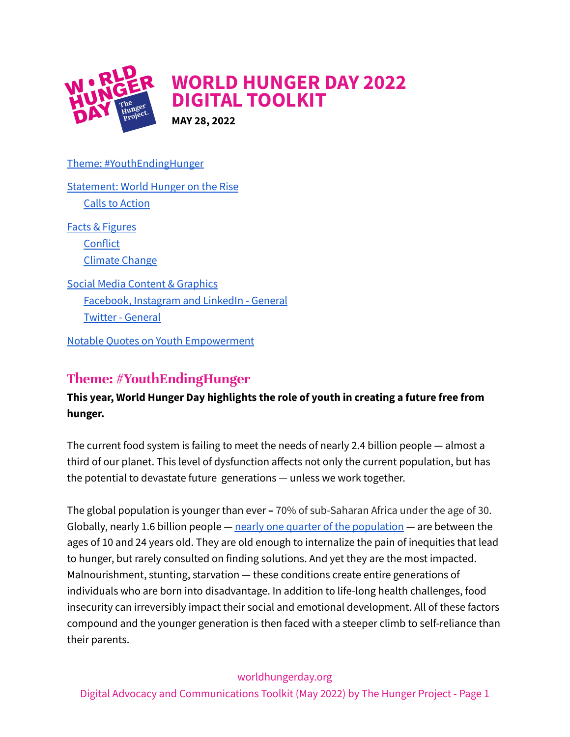

[Statement:](#page-1-0) World Hunger on the Rise Calls to [Action](#page-2-0) Facts & [Figures](#page-2-1) **[Conflict](#page-2-2)** [Climate](#page-3-0) Change Social Media Content & [Graphics](#page-3-1) [Facebook,](#page-3-2) Instagram and LinkedIn - General Twitter - [General](#page-4-0)

Theme: [#YouthEndingHunger](#page-0-0)

Notable Quotes on Youth [Empowerment](#page-5-0)

# <span id="page-0-0"></span>**Theme: #YouthEndingHunger**

## **This year, World Hunger Day highlights the role of youth in creating a future free from hunger.**

The current food system is failing to meet the needs of nearly 2.4 billion people — almost a third of our planet. This level of dysfunction affects not only the current population, but has the potential to devastate future generations — unless we work together.

The global population is younger than ever **–** 70% of sub-Saharan Africa under the age of 30. Globally, nearly 1.6 billion people  $-$  nearly one quarter of the [population](https://www.unfpa.org/data/world-population-dashboard)  $-$  are between the ages of 10 and 24 years old. They are old enough to internalize the pain of inequities that lead to hunger, but rarely consulted on finding solutions. And yet they are the most impacted. Malnourishment, stunting, starvation — these conditions create entire generations of individuals who are born into disadvantage. In addition to life-long health challenges, food insecurity can irreversibly impact their social and emotional development. All of these factors compound and the younger generation is then faced with a steeper climb to self-reliance than their parents.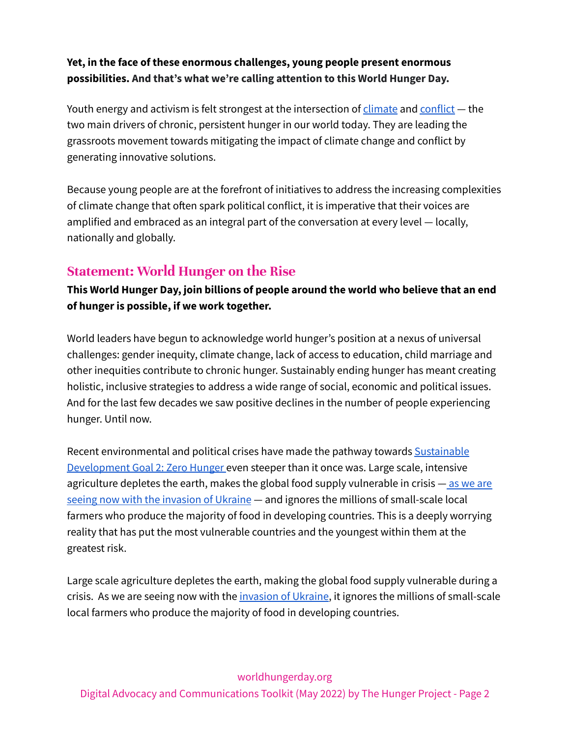### **Yet, in the face of these enormous challenges, young people present enormous possibilities. And that's what we're calling attention to this World Hunger Day.**

Youth energy and activism is felt strongest at the intersection of  $\frac{d}\{C}$  and  $\frac{1}{\sqrt{C}}$  the two main drivers of chronic, persistent hunger in our world today. They are leading the grassroots movement towards mitigating the impact of climate change and conflict by generating innovative solutions.

Because young people are at the forefront of initiatives to address the increasing complexities of climate change that often spark political conflict, it is imperative that their voices are amplified and embraced as an integral part of the conversation at every level — locally, nationally and globally.

# <span id="page-1-0"></span>**Statement: World Hunger on the Rise**

**This World Hunger Day, join billions of people around the world who believe that an end of hunger is possible, if we work together.**

World leaders have begun to acknowledge world hunger's position at a nexus of universal challenges: gender inequity, climate change, lack of access to education, child marriage and other inequities contribute to chronic hunger. Sustainably ending hunger has meant creating holistic, inclusive strategies to address a wide range of social, economic and political issues. And for the last few decades we saw positive declines in the number of people experiencing hunger. Until now.

Recent environmental and political crises have made the pathway towards [Sustainable](https://www.un.org/sustainabledevelopment/hunger/) [Development](https://www.un.org/sustainabledevelopment/hunger/) Goal 2: Zero Hunger even steeper than it once was. Large scale, intensive agriculture depletes the earth, makes the global food supply vulnerable in crisis - as we [are](https://go.thp.org/ukraine) seeing now with the [invasion](https://go.thp.org/ukraine) of Ukraine — and ignores the millions of small-scale local farmers who produce the majority of food in developing countries. This is a deeply worrying reality that has put the most vulnerable countries and the youngest within them at the greatest risk.

Large scale agriculture depletes the earth, making the global food supply vulnerable during a crisis. As we are seeing now with the *[invasion](https://go.thp.org/ukraine) of Ukraine*, it ignores the millions of small-scale local farmers who produce the majority of food in developing countries.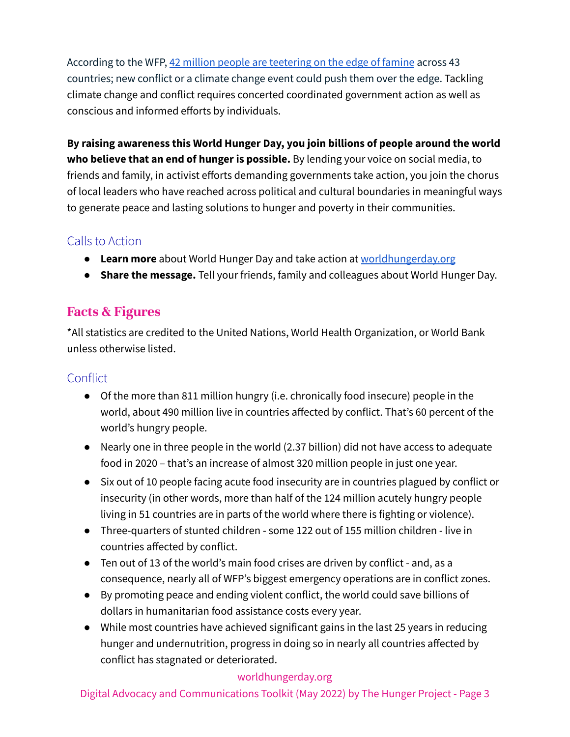According to the WFP, 42 million people are [teetering](https://www.wfp.org/stories/wfps-plan-support-42-million-people-brink-famine) on the edge of famine across 43 countries; new conflict or a climate change event could push them over the edge. Tackling climate change and conflict requires concerted coordinated government action as well as conscious and informed efforts by individuals.

**By raising awareness this World Hunger Day, you join billions of people around the world who believe that an end of hunger is possible.** By lending your voice on social media, to friends and family, in activist efforts demanding governments take action, you join the chorus of local leaders who have reached across political and cultural boundaries in meaningful ways to generate peace and lasting solutions to hunger and poverty in their communities.

## <span id="page-2-0"></span>Calls to Action

- **Learn more** about World Hunger Day and take action at [worldhungerday.org](http://www.worldhungerday.org/)
- **Share the message.** Tell your friends, family and colleagues about World Hunger Day.

## <span id="page-2-1"></span>**Facts & Figures**

\*All statistics are credited to the United Nations, World Health Organization, or World Bank unless otherwise listed.

## <span id="page-2-2"></span>**Conflict**

- Of the more than 811 million hungry (i.e. chronically food insecure) people in the world, about 490 million live in countries affected by conflict. That's 60 percent of the world's hungry people.
- Nearly one in three people in the world (2.37 billion) did not have access to adequate food in 2020 – that's an increase of almost 320 million people in just one year.
- Six out of 10 people facing acute food insecurity are in countries plagued by conflict or insecurity (in other words, more than half of the 124 million acutely hungry people living in 51 countries are in parts of the world where there is fighting or violence).
- Three-quarters of stunted children some 122 out of 155 million children live in countries affected by conflict.
- Ten out of 13 of the world's main food crises are driven by conflict and, as a consequence, nearly all of WFP's biggest emergency operations are in conflict zones.
- By promoting peace and ending violent conflict, the world could save billions of dollars in humanitarian food assistance costs every year.
- While most countries have achieved significant gains in the last 25 years in reducing hunger and undernutrition, progress in doing so in nearly all countries affected by conflict has stagnated or deteriorated.

#### worldhungerday.org

Digital Advocacy and Communications Toolkit (May 2022) by The Hunger Project - Page 3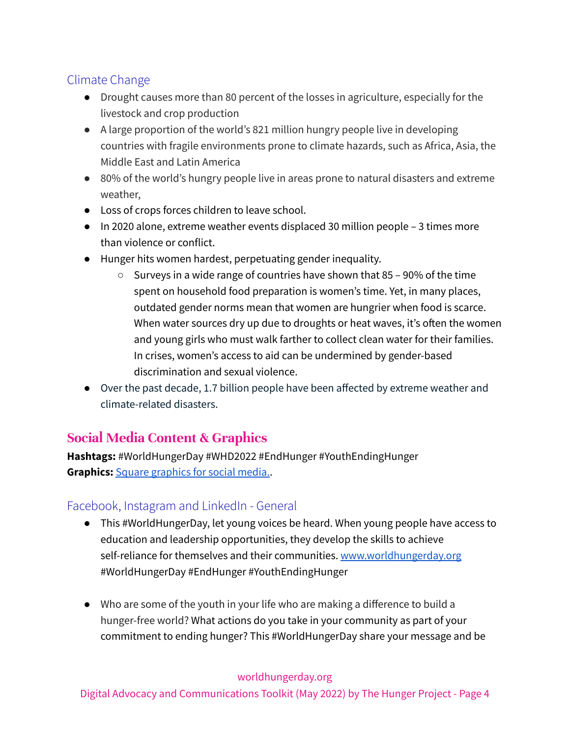# <span id="page-3-0"></span>Climate Change

- Drought causes more than 80 percent of the losses in agriculture, especially for the livestock and crop production
- A large proportion of the world's 821 million hungry people live in developing countries with fragile environments prone to climate hazards, such as Africa, Asia, the Middle East and Latin America
- 80% of the world's hungry people live in areas prone to natural disasters and extreme weather,
- Loss of crops forces children to leave school.
- In 2020 alone, extreme weather events displaced 30 million people 3 times more than violence or conflict.
- Hunger hits women hardest, perpetuating gender inequality.
	- $\circ$  Surveys in a wide range of countries have shown that 85 90% of the time spent on household food preparation is women's time. Yet, in many places, outdated gender norms mean that women are hungrier when food is scarce. When water sources dry up due to droughts or heat waves, it's often the women and young girls who must walk farther to collect clean water for their families. In crises, women's access to aid can be undermined by gender-based discrimination and sexual violence.
- Over the past decade, 1.7 billion people have been affected by extreme weather and climate-related disasters.

# <span id="page-3-1"></span>**Social Media Content & Graphics**

**Hashtags:** #WorldHungerDay #WHD2022 #EndHunger #YouthEndingHunger **Graphics:** Square [graphics](https://www.canva.com/design/DAFATxZvzA4/JZX1AFkbvN-gQUz99b-ZKg/view?utm_content=DAFATxZvzA4&utm_campaign=designshare&utm_medium=link&utm_source=publishsharelink) for social media..

## <span id="page-3-2"></span>Facebook, Instagram and LinkedIn - General

- This #WorldHungerDay, let young voices be heard. When young people have access to education and leadership opportunities, they develop the skills to achieve self-reliance for themselves and their communities. [www.worldhungerday.org](http://www.worldhungerday.org) #WorldHungerDay #EndHunger #YouthEndingHunger
- Who are some of the youth in your life who are making a difference to build a hunger-free world? What actions do you take in your community as part of your commitment to ending hunger? This #WorldHungerDay share your message and be

#### worldhungerday.org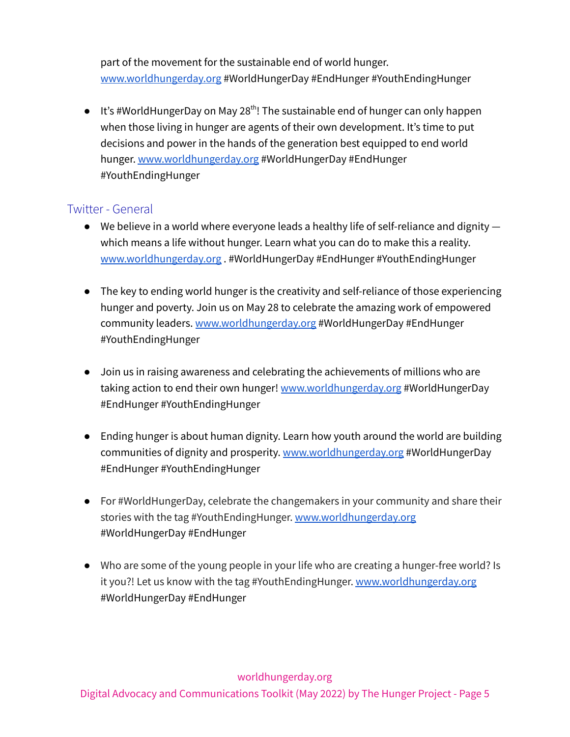part of the movement for the sustainable end of world hunger. [www.worldhungerday.org](http://www.worldhungerday.org) #WorldHungerDay #EndHunger #YouthEndingHunger

 $\bullet$  It's #WorldHungerDay on May 28<sup>th</sup>! The sustainable end of hunger can only happen when those living in hunger are agents of their own development. It's time to put decisions and power in the hands of the generation best equipped to end world hunger. [www.worldhungerday.org](http://www.worldhungerday.org) #WorldHungerDay #EndHunger #YouthEndingHunger

#### <span id="page-4-0"></span>Twitter - General

- $\bullet$  We believe in a world where everyone leads a healthy life of self-reliance and dignity  $$ which means a life without hunger. Learn what you can do to make this a reality. [www.worldhungerday.org](http://www.worldhungerday.org) . #WorldHungerDay #EndHunger #YouthEndingHunger
- The key to ending world hunger is the creativity and self-reliance of those experiencing hunger and poverty. Join us on May 28 to celebrate the amazing work of empowered community leaders. [www.worldhungerday.org](http://www.worldhungerday.org) #WorldHungerDay #EndHunger #YouthEndingHunger
- Join us in raising awareness and celebrating the achievements of millions who are taking action to end their own hunger! [www.worldhungerday.org](http://www.worldhungerday.org) #WorldHungerDay #EndHunger #YouthEndingHunger
- Ending hunger is about human dignity. Learn how youth around the world are building communities of dignity and prosperity. [www.worldhungerday.org](http://www.worldhungerday.org) #WorldHungerDay #EndHunger #YouthEndingHunger
- For #WorldHungerDay, celebrate the changemakers in your community and share their stories with the tag #YouthEndingHunger. [www.worldhungerday.org](http://www.worldhungerday.org) #WorldHungerDay #EndHunger
- Who are some of the young people in your life who are creating a hunger-free world? Is it you?! Let us know with the tag #YouthEndingHunger. [www.worldhungerday.org](http://www.worldhungerday.org) #WorldHungerDay #EndHunger